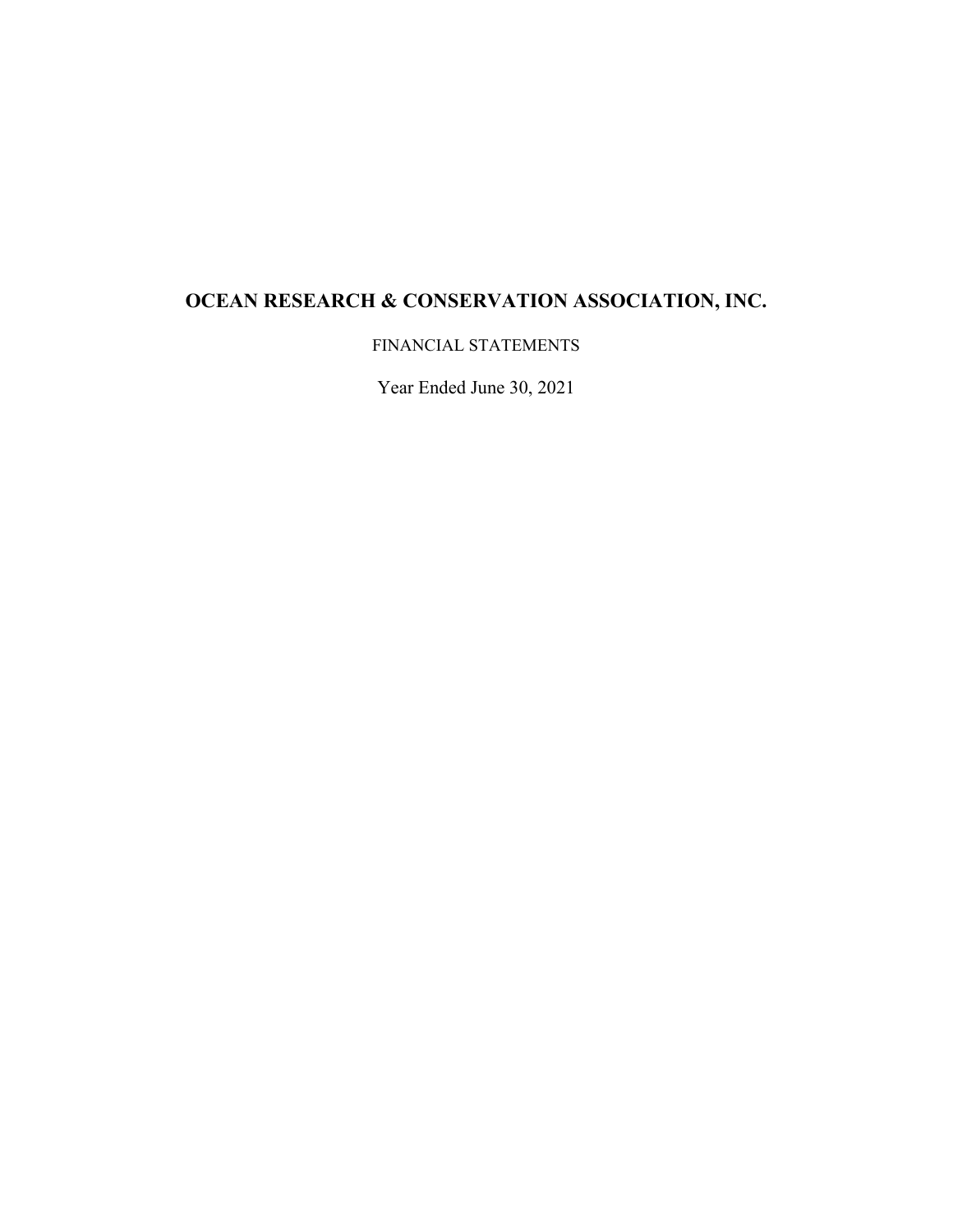FINANCIAL STATEMENTS

Year Ended June 30, 2021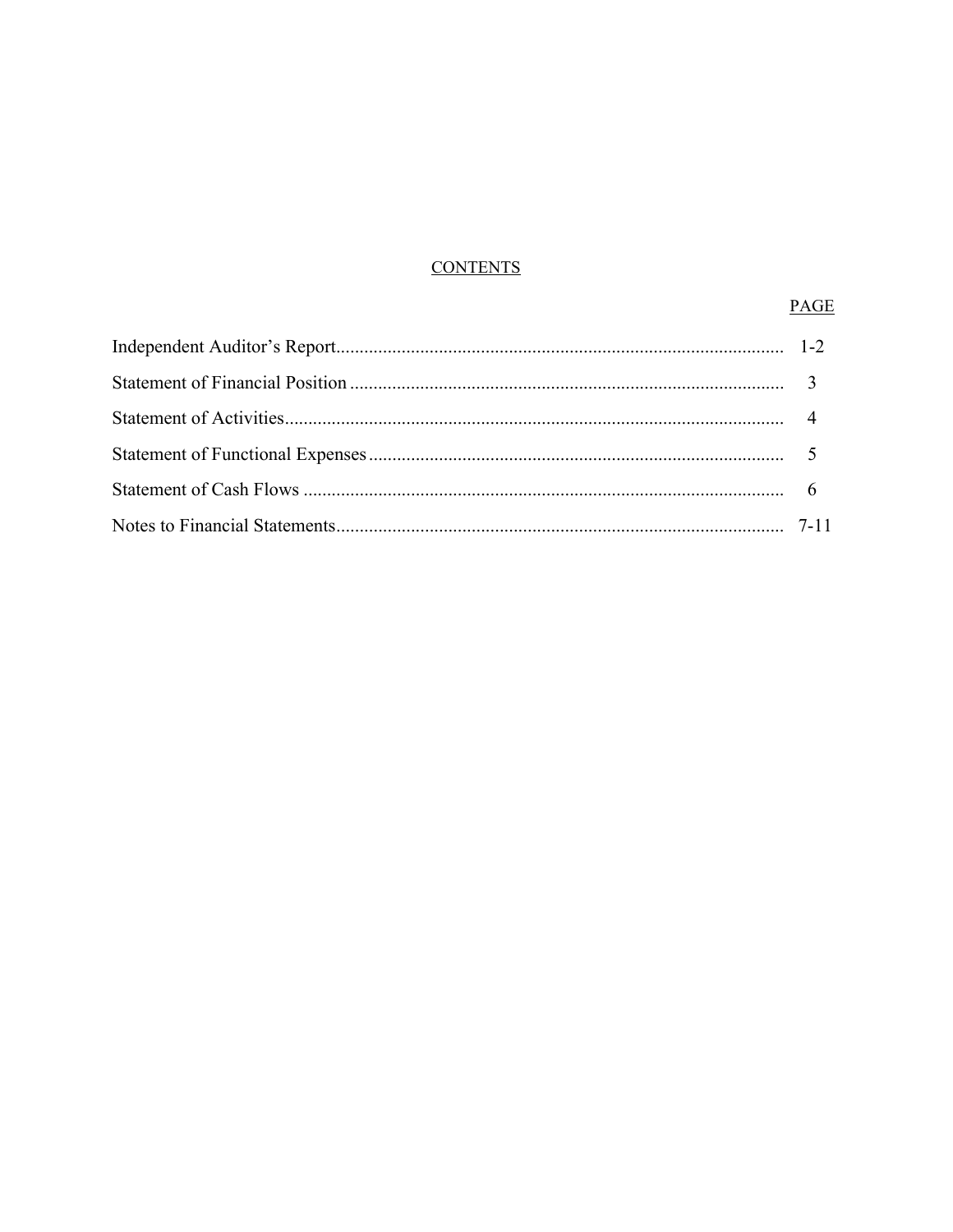# **CONTENTS**

# PAGE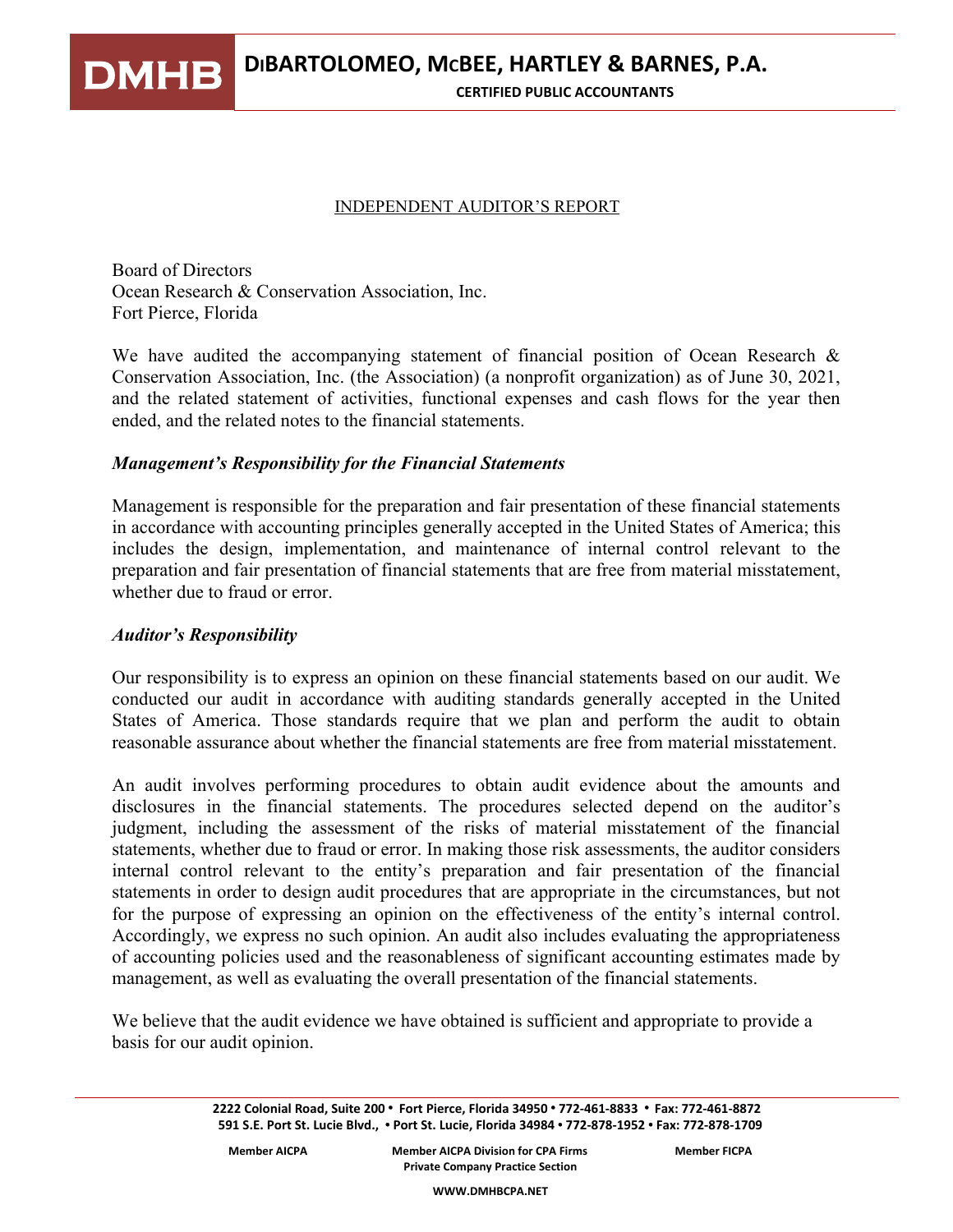**DMHB DIBARTOLOMEO, MCBEE, HARTLEY & BARNES, P.A.**

#### **CERTIFIED PUBLIC ACCOUNTANTS**

### INDEPENDENT AUDITOR'S REPORT

Board of Directors Ocean Research & Conservation Association, Inc. Fort Pierce, Florida

We have audited the accompanying statement of financial position of Ocean Research & Conservation Association, Inc. (the Association) (a nonprofit organization) as of June 30, 2021, and the related statement of activities, functional expenses and cash flows for the year then ended, and the related notes to the financial statements.

## *Management's Responsibility for the Financial Statements*

Management is responsible for the preparation and fair presentation of these financial statements in accordance with accounting principles generally accepted in the United States of America; this includes the design, implementation, and maintenance of internal control relevant to the preparation and fair presentation of financial statements that are free from material misstatement, whether due to fraud or error.

### *Auditor's Responsibility*

Our responsibility is to express an opinion on these financial statements based on our audit. We conducted our audit in accordance with auditing standards generally accepted in the United States of America. Those standards require that we plan and perform the audit to obtain reasonable assurance about whether the financial statements are free from material misstatement.

An audit involves performing procedures to obtain audit evidence about the amounts and disclosures in the financial statements. The procedures selected depend on the auditor's judgment, including the assessment of the risks of material misstatement of the financial statements, whether due to fraud or error. In making those risk assessments, the auditor considers internal control relevant to the entity's preparation and fair presentation of the financial statements in order to design audit procedures that are appropriate in the circumstances, but not for the purpose of expressing an opinion on the effectiveness of the entity's internal control. Accordingly, we express no such opinion. An audit also includes evaluating the appropriateness of accounting policies used and the reasonableness of significant accounting estimates made by management, as well as evaluating the overall presentation of the financial statements.

We believe that the audit evidence we have obtained is sufficient and appropriate to provide a basis for our audit opinion.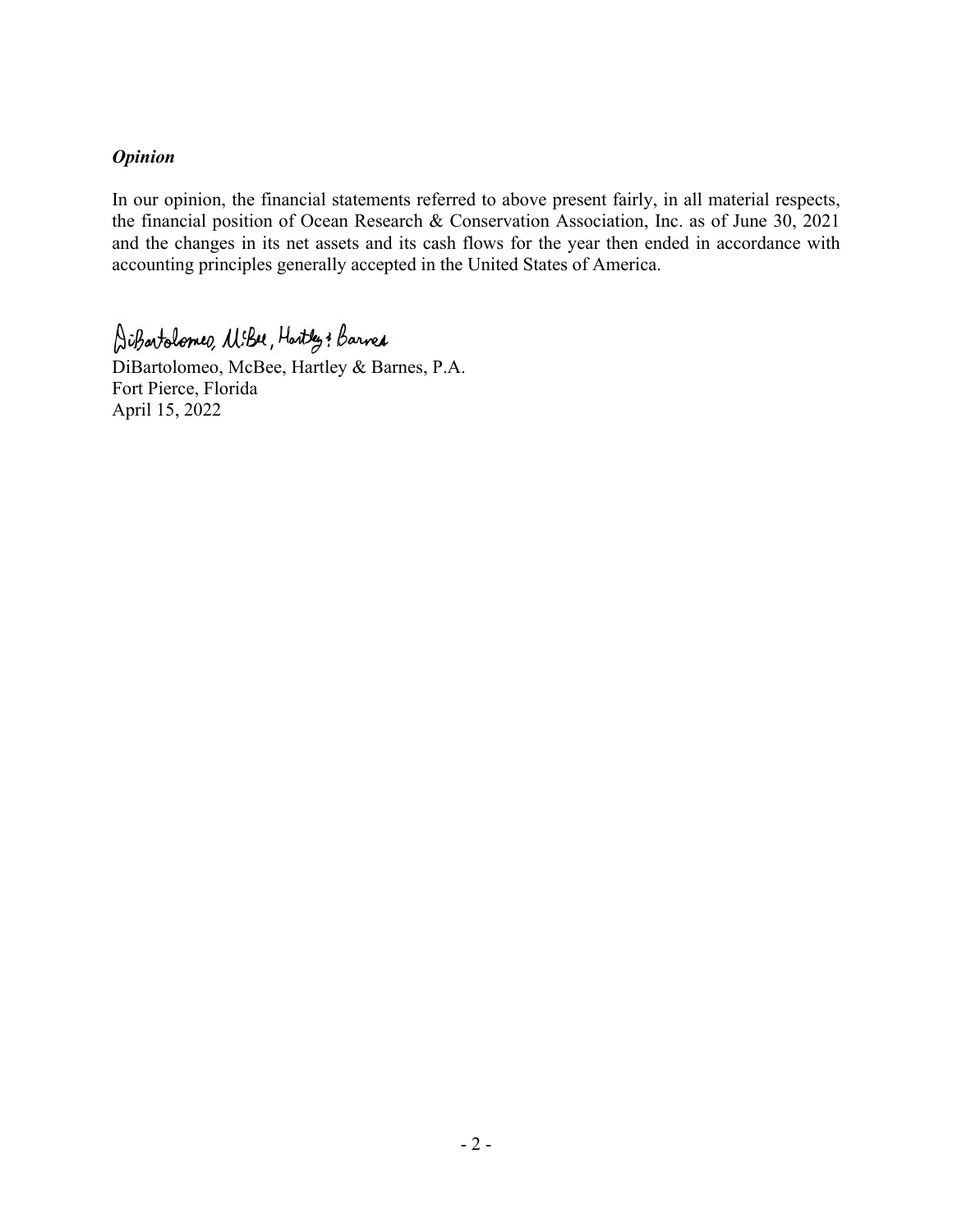# *Opinion*

In our opinion, the financial statements referred to above present fairly, in all material respects, the financial position of Ocean Research & Conservation Association, Inc. as of June 30, 2021 and the changes in its net assets and its cash flows for the year then ended in accordance with accounting principles generally accepted in the United States of America.

AiBartolomeo, MiBu, Hartley: Barred

DiBartolomeo, McBee, Hartley & Barnes, P.A. Fort Pierce, Florida April 15, 2022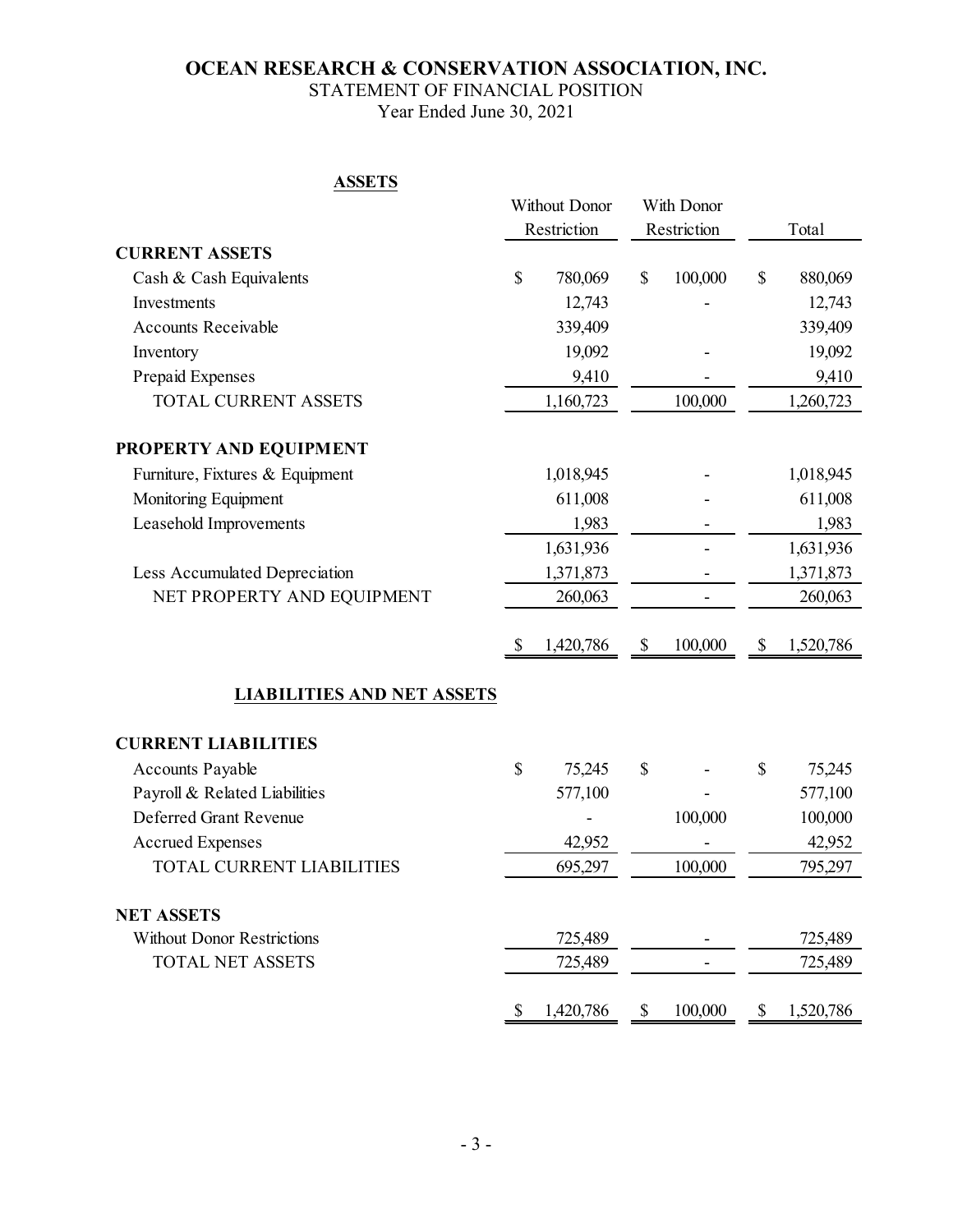# STATEMENT OF FINANCIAL POSITION

Year Ended June 30, 2021

# **ASSETS**

|                                   | Without Donor<br>With Donor<br>Restriction<br>Restriction |           |    | Total                    |               |           |
|-----------------------------------|-----------------------------------------------------------|-----------|----|--------------------------|---------------|-----------|
| <b>CURRENT ASSETS</b>             |                                                           |           |    |                          |               |           |
| Cash & Cash Equivalents           | \$                                                        | 780,069   | \$ | 100,000                  | $\mathcal{S}$ | 880,069   |
| Investments                       |                                                           | 12,743    |    |                          |               | 12,743    |
| <b>Accounts Receivable</b>        |                                                           | 339,409   |    |                          |               | 339,409   |
| Inventory                         |                                                           | 19,092    |    |                          |               | 19,092    |
| Prepaid Expenses                  |                                                           | 9,410     |    |                          |               | 9,410     |
| <b>TOTAL CURRENT ASSETS</b>       |                                                           | 1,160,723 |    | 100,000                  |               | 1,260,723 |
| PROPERTY AND EQUIPMENT            |                                                           |           |    |                          |               |           |
| Furniture, Fixtures & Equipment   |                                                           | 1,018,945 |    |                          |               | 1,018,945 |
| Monitoring Equipment              |                                                           | 611,008   |    |                          |               | 611,008   |
| Leasehold Improvements            |                                                           | 1,983     |    |                          |               | 1,983     |
|                                   |                                                           | 1,631,936 |    | $\overline{\phantom{0}}$ |               | 1,631,936 |
| Less Accumulated Depreciation     |                                                           | 1,371,873 |    |                          |               | 1,371,873 |
| NET PROPERTY AND EQUIPMENT        |                                                           | 260,063   |    |                          |               | 260,063   |
|                                   | \$                                                        | 1,420,786 | \$ | 100,000                  | \$            | 1,520,786 |
| <b>LIABILITIES AND NET ASSETS</b> |                                                           |           |    |                          |               |           |
| <b>CURRENT LIABILITIES</b>        |                                                           |           |    |                          |               |           |
| Accounts Payable                  | \$                                                        | 75,245    | \$ |                          | \$            | 75,245    |
| Payroll & Related Liabilities     |                                                           | 577,100   |    |                          |               | 577,100   |
| Deferred Grant Revenue            |                                                           |           |    | 100,000                  |               | 100,000   |
| <b>Accrued Expenses</b>           |                                                           | 42,952    |    |                          |               | 42,952    |
| TOTAL CURRENT LIABILITIES         |                                                           | 695,297   |    | 100,000                  |               | 795,297   |
| <b>NET ASSETS</b>                 |                                                           |           |    |                          |               |           |
| <b>Without Donor Restrictions</b> |                                                           | 725,489   |    |                          |               | 725,489   |
| <b>TOTAL NET ASSETS</b>           |                                                           | 725,489   |    |                          |               | 725,489   |
|                                   | P                                                         | 1,420,786 | \$ | 100,000                  | \$            | 1,520,786 |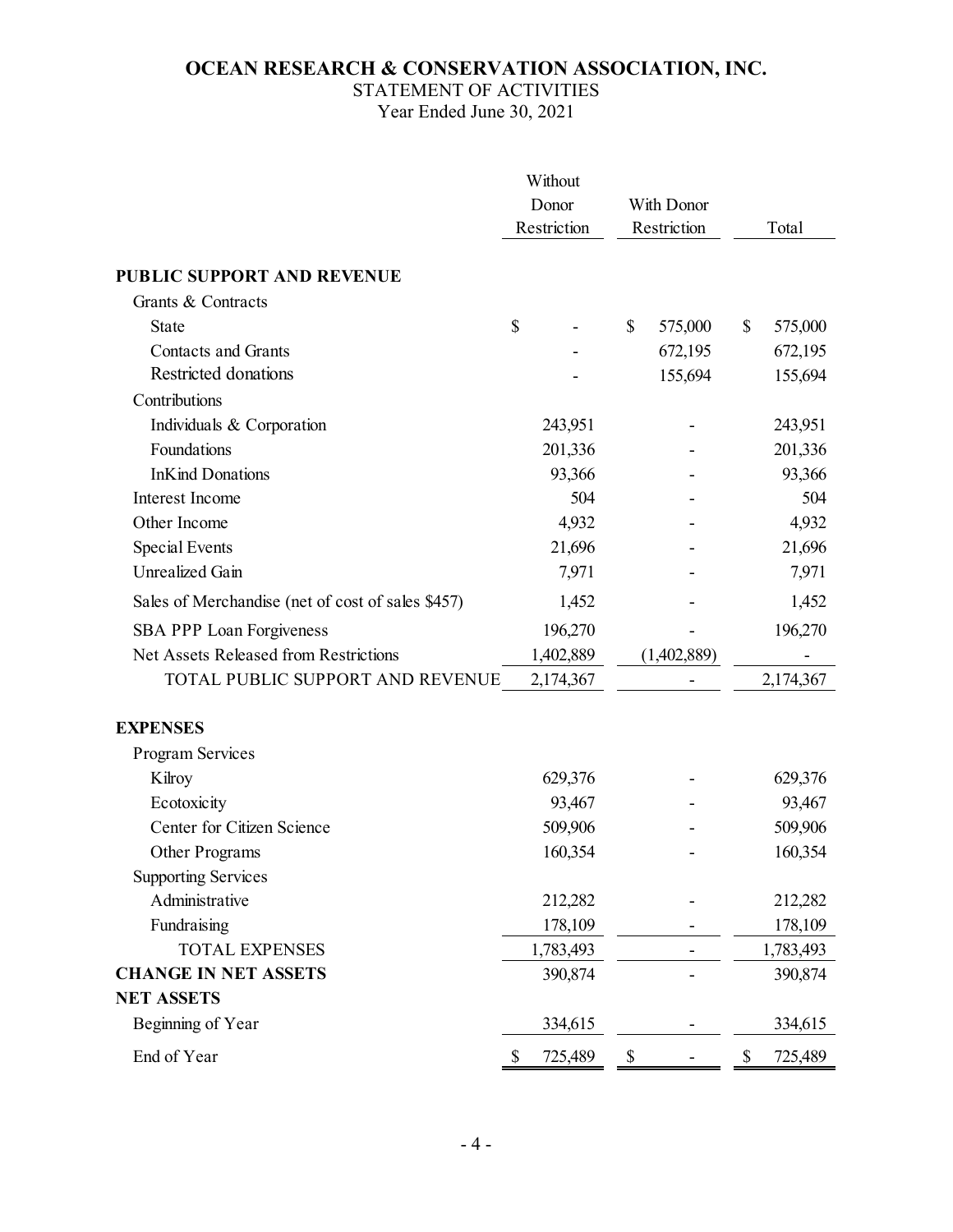# STATEMENT OF ACTIVITIES

Year Ended June 30, 2021

|                                                   |                      | Without   |               |               |
|---------------------------------------------------|----------------------|-----------|---------------|---------------|
|                                                   | Donor<br>Restriction |           | With Donor    |               |
|                                                   |                      |           | Restriction   | Total         |
| <b>PUBLIC SUPPORT AND REVENUE</b>                 |                      |           |               |               |
| Grants & Contracts                                |                      |           |               |               |
| <b>State</b>                                      | \$                   |           | \$<br>575,000 | \$<br>575,000 |
| <b>Contacts and Grants</b>                        |                      |           | 672,195       | 672,195       |
| Restricted donations                              |                      |           | 155,694       | 155,694       |
| Contributions                                     |                      |           |               |               |
| Individuals & Corporation                         |                      | 243,951   |               | 243,951       |
| Foundations                                       |                      | 201,336   |               | 201,336       |
| <b>InKind Donations</b>                           |                      | 93,366    |               | 93,366        |
| Interest Income                                   |                      | 504       |               | 504           |
| Other Income                                      |                      | 4,932     |               | 4,932         |
| Special Events                                    |                      | 21,696    |               | 21,696        |
| Unrealized Gain                                   |                      | 7,971     |               | 7,971         |
| Sales of Merchandise (net of cost of sales \$457) |                      | 1,452     |               | 1,452         |
| SBA PPP Loan Forgiveness                          |                      | 196,270   |               | 196,270       |
| Net Assets Released from Restrictions             |                      | 1,402,889 | (1,402,889)   |               |
| TOTAL PUBLIC SUPPORT AND REVENUE                  |                      | 2,174,367 |               | 2,174,367     |
| <b>EXPENSES</b>                                   |                      |           |               |               |
| Program Services                                  |                      |           |               |               |
| Kilroy                                            |                      | 629,376   |               | 629,376       |
| Ecotoxicity                                       |                      | 93,467    |               | 93,467        |
| Center for Citizen Science                        |                      | 509,906   |               | 509,906       |
| Other Programs                                    |                      | 160,354   |               | 160,354       |
| <b>Supporting Services</b>                        |                      |           |               |               |
| Administrative                                    |                      | 212,282   |               | 212,282       |
| Fundraising                                       |                      | 178,109   |               | 178,109       |
| <b>TOTAL EXPENSES</b>                             |                      | 1,783,493 |               | 1,783,493     |
| <b>CHANGE IN NET ASSETS</b>                       |                      | 390,874   |               | 390,874       |
| <b>NET ASSETS</b>                                 |                      |           |               |               |
| Beginning of Year                                 |                      | 334,615   |               | 334,615       |
| End of Year                                       | \$                   | 725,489   | \$            | \$<br>725,489 |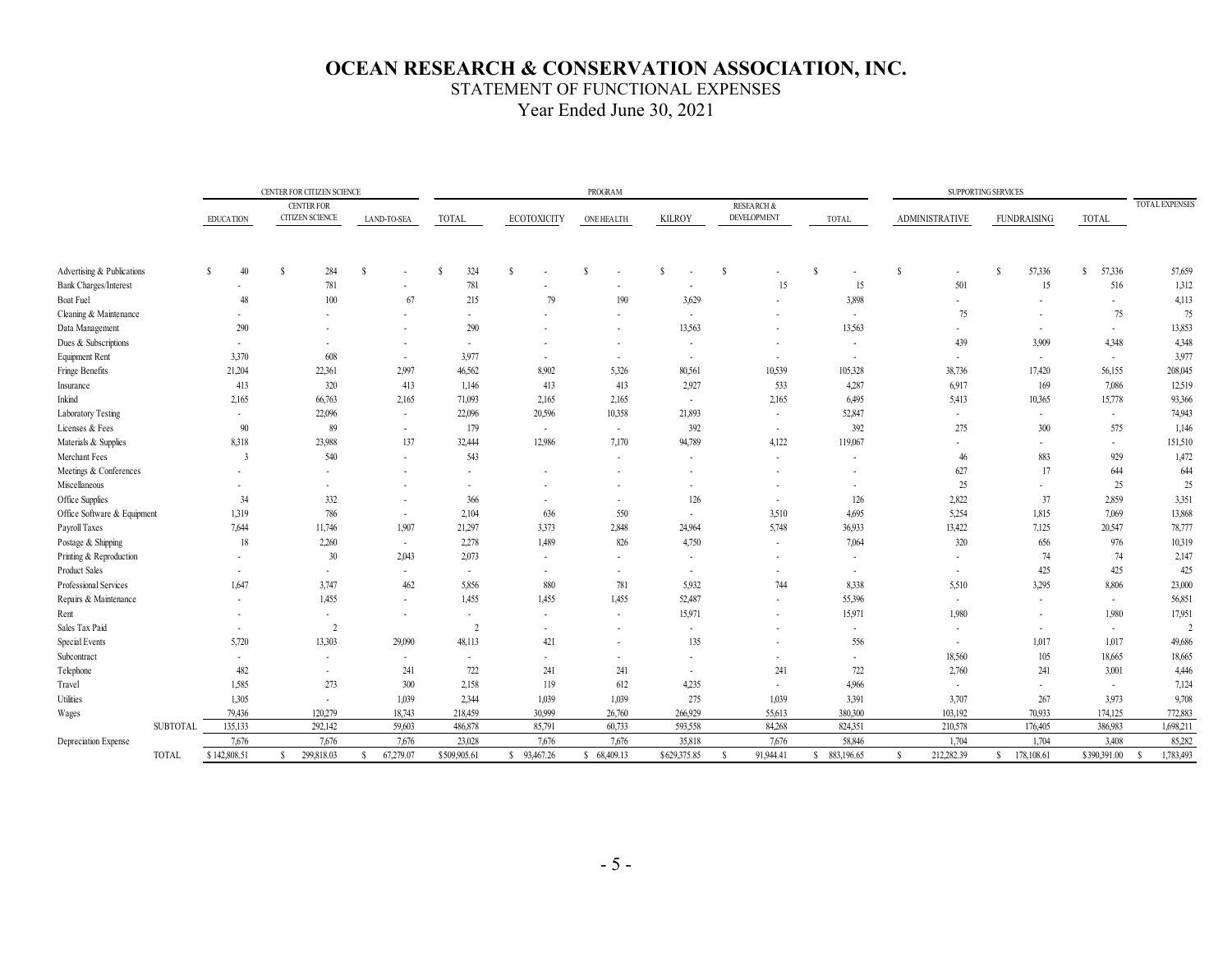#### STATEMENT OF FUNCTIONAL EXPENSES

Year Ended June 30, 2021

|                              |                  |                | CENTER FOR CITIZEN SCIENCE<br><b>PROGRAM</b> |                                             |              |             |              |              |    |                    | SUPPORTING SERVICES |                   |               |        |   |                                             |    |                          |    |                          |          |                          |       |                          |                       |
|------------------------------|------------------|----------------|----------------------------------------------|---------------------------------------------|--------------|-------------|--------------|--------------|----|--------------------|---------------------|-------------------|---------------|--------|---|---------------------------------------------|----|--------------------------|----|--------------------------|----------|--------------------------|-------|--------------------------|-----------------------|
|                              | <b>EDUCATION</b> |                |                                              | <b>CENTER FOR</b><br><b>CITIZEN SCIENCE</b> |              | LAND-TO-SEA | <b>TOTAL</b> |              |    | <b>ECOTOXICITY</b> |                     | <b>ONE HEALTH</b> | <b>KILROY</b> |        |   | <b>RESEARCH &amp;</b><br><b>DEVELOPMENT</b> |    | TOTAL                    |    | <b>ADMINISTRATIVE</b>    |          | <b>FUNDRAISING</b>       | TOTAL |                          | <b>TOTAL EXPENSES</b> |
|                              |                  |                |                                              |                                             |              |             |              |              |    |                    |                     |                   |               |        |   |                                             |    |                          |    |                          |          |                          |       |                          |                       |
| Advertising & Publications   |                  | 40<br>S.       | -S                                           | 284                                         | <sup>S</sup> |             | S            | 324          | -S |                    | <sup>\$</sup>       |                   | S             |        | S |                                             | -S | $\overline{\phantom{a}}$ | s  | $\sim$                   | <b>S</b> | 57,336                   | S     | 57,336                   | 57,659                |
| <b>Bank Charges/Interest</b> |                  | $\sim$         |                                              | 781                                         |              | $\sim$      |              | 781          |    |                    |                     |                   |               |        |   | 15                                          |    | 15                       |    | 501                      |          | 15                       |       | 516                      | 1,312                 |
| Boat Fuel                    |                  | 48             |                                              | 100                                         |              | 67          |              | 215          |    | 79                 |                     | 190               |               | 3,629  |   |                                             |    | 3,898                    |    | $\sim$                   |          |                          |       | ٠                        | 4,113                 |
| Cleaning & Maintenance       |                  | $\sim$         |                                              |                                             |              | ٠           |              | $\sim$       |    |                    |                     | ÷.                |               | $\sim$ |   |                                             |    | $\sim$                   |    | 75                       |          |                          |       | 75                       | 75                    |
| Data Management              |                  | 290            |                                              |                                             |              |             |              | 290          |    |                    |                     |                   |               | 13,563 |   |                                             |    | 13,563                   |    | ٠                        |          |                          |       | $\sim$                   | 13,853                |
| Dues & Subscriptions         |                  | $\sim$         |                                              |                                             |              |             |              | $\sim$       |    |                    |                     |                   |               | $\sim$ |   |                                             |    | $\overline{\phantom{a}}$ |    | 439                      |          | 3.909                    |       | 4,348                    | 4,348                 |
| Equipment Rent               |                  | 3,370          |                                              | 608                                         |              | $\sim$      |              | 3,977        |    | $\sim$             |                     | $\sim$            |               | $\sim$ |   | $\overline{\phantom{a}}$                    |    | $\sim$                   |    | $\sim$                   |          | $\sim$                   |       | $\sim$                   | 3,977                 |
| Fringe Benefits              |                  | 21,204         |                                              | 22,361                                      |              | 2,997       |              | 46,562       |    | 8.902              |                     | 5,326             |               | 80,561 |   | 10,539                                      |    | 105,328                  |    | 38,736                   |          | 17,420                   |       | 56,155                   | 208,045               |
| Insurance                    |                  | 413            |                                              | 320                                         |              | 413         |              | 1,146        |    | 413                |                     | 413               |               | 2,927  |   | 533                                         |    | 4,287                    |    | 6,917                    |          | 169                      |       | 7,086                    | 12,519                |
| Inkind                       |                  | 2,165          |                                              | 66,763                                      |              | 2,165       |              | 71,093       |    | 2,165              |                     | 2,165             |               | $\sim$ |   | 2,165                                       |    | 6,495                    |    | 5,413                    |          | 10,365                   |       | 15,778                   | 93,366                |
| Laboratory Testing           |                  | $\sim$         |                                              | 22,096                                      |              | $\sim$      |              | 22,096       |    | 20,596             |                     | 10,358            |               | 21,893 |   | $\overline{\phantom{a}}$                    |    | 52,847                   |    | $\sim$                   |          |                          |       | $\sim$                   | 74,943                |
| Licenses & Fees              |                  | 90             |                                              | 89                                          |              | ٠           |              | 179          |    | $\sim$             |                     | $\sim$            |               | 392    |   | $\sim$                                      |    | 392                      |    | 275                      |          | 300                      |       | 575                      | 1,146                 |
| Materials & Supplies         |                  | 8,318          |                                              | 23,988                                      |              | 137         |              | 32,444       |    | 12,986             |                     | 7,170             |               | 94,789 |   | 4,122                                       |    | 119,067                  |    | $\sim$                   |          |                          |       | $\overline{\phantom{a}}$ | 151,510               |
| Merchant Fees                |                  | $\overline{3}$ |                                              | 540                                         |              | ٠           |              | 543          |    |                    |                     | ٠                 |               |        |   | $\overline{\phantom{a}}$                    |    | $\overline{\phantom{a}}$ |    | 46                       |          | 883                      |       | 929                      | 1,472                 |
| Meetings & Conferences       |                  |                |                                              |                                             |              |             |              |              |    |                    |                     |                   |               |        |   |                                             |    |                          |    | 627                      |          | 17                       |       | 644                      | 644                   |
| Miscellaneous                |                  | $\sim$         |                                              |                                             |              |             |              | $\sim$       |    |                    |                     |                   |               | $\sim$ |   |                                             |    | $\overline{\phantom{a}}$ |    | 25                       |          |                          |       | 25                       | 25                    |
| Office Supplies              |                  | 34             |                                              | 332                                         |              | $\sim$      |              | 366          |    | $\sim$             |                     | ٠                 |               | 126    |   | $\sim$                                      |    | 126                      |    | 2,822                    |          | 37                       |       | 2.859                    | 3,351                 |
| Office Software & Equipment  |                  | 1,319          |                                              | 786                                         |              | $\sim$      |              | 2,104        |    | 636                |                     | 550               |               | $\sim$ |   | 3,510                                       |    | 4,695                    |    | 5,254                    |          | 1,815                    |       | 7,069                    | 13,868                |
| Payroll Taxes                |                  | 7,644          |                                              | 11,746                                      |              | 1,907       |              | 21,297       |    | 3,373              |                     | 2,848             |               | 24,964 |   | 5,748                                       |    | 36,933                   |    | 13,422                   |          | 7,125                    |       | 20,547                   | 78,777                |
| Postage & Shipping           |                  | 18             |                                              | 2,260                                       |              | $\sim$      |              | 2,278        |    | 1,489              |                     | 826               |               | 4,750  |   | $\sim$                                      |    | 7,064                    |    | 320                      |          | 656                      |       | 976                      | 10,319                |
| Printing & Reproduction      |                  |                |                                              | 30                                          |              | 2,043       |              | 2,073        |    | $\sim$             |                     |                   |               | ٠      |   |                                             |    | $\sim$                   |    | ٠                        |          | 74                       |       | 74                       | 2,147                 |
| Product Sales                |                  | $\sim$         |                                              | $\sim$                                      |              | $\sim$      |              | $\sim$       |    | $\sim$             |                     | ٠                 |               | $\sim$ |   | $\overline{\phantom{a}}$                    |    | $\overline{\phantom{a}}$ |    | $\sim$                   |          | 425                      |       | 425                      | 425                   |
| Professional Services        |                  | 1,647          |                                              | 3,747                                       |              | 462         |              | 5,856        |    | 880                |                     | 781               |               | 5.932  |   | 744                                         |    | 8,338                    |    | 5,510                    |          | 3,295                    |       | 8,806                    | 23,000                |
| Repairs & Maintenance        |                  |                |                                              | 1,455                                       |              |             |              | 1,455        |    | 1,455              |                     | 1,455             |               | 52,487 |   |                                             |    | 55,396                   |    | $\sim$                   |          |                          |       | $\sim$                   | 56,851                |
| Rent                         |                  | $\sim$         |                                              | $\sim$                                      |              | ٠           |              | $\sim$       |    | $\sim$             |                     | ٠                 |               | 15,971 |   |                                             |    | 15,971                   |    | 1,980                    |          |                          |       | 1.980                    | 17,951                |
| Sales Tax Paid               |                  | $\sim$         |                                              | $\overline{2}$                              |              |             |              | 2            |    | $\sim$             |                     | ٠                 |               | ٠      |   |                                             |    | $\sim$                   |    | $\overline{\phantom{a}}$ |          | $\overline{\phantom{a}}$ |       | $\sim$                   | $\mathcal{L}$         |
| Special Events               |                  | 5,720          |                                              | 13,303                                      |              | 29,090      |              | 48,113       |    | 421                |                     |                   |               | 135    |   |                                             |    | 556                      |    | $\sim$                   |          | 1,017                    |       | 1,017                    | 49,686                |
| Subcontract                  |                  | $\sim$         |                                              |                                             |              | $\sim$      |              | $\sim$       |    | $\sim$             |                     | ٠                 |               | ٠      |   | $\overline{\phantom{a}}$                    |    | $\overline{\phantom{a}}$ |    | 18,560                   |          | 105                      |       | 18,665                   | 18,665                |
| Telephone                    |                  | 482            |                                              |                                             |              | 241         |              | 722          |    | 241                |                     | 241               |               |        |   | 241                                         |    | 722                      |    | 2,760                    |          | 241                      |       | 3,001                    | 4,446                 |
| Travel                       |                  | 1,585          |                                              | 273                                         |              | 300         |              | 2,158        |    | 119                |                     | 612               |               | 4,235  |   |                                             |    | 4,966                    |    | $\sim$                   |          |                          |       | $\sim$                   | 7,124                 |
| Utilities                    |                  | 1,305          |                                              | $\sim$                                      |              | 1,039       |              | 2,344        |    | 1,039              |                     | 1,039             |               | 275    |   | 1,039                                       |    | 3,391                    |    | 3,707                    |          | 267                      |       | 3.973                    | 9,708                 |
| Wages                        |                  | 79,436         |                                              | 120,279                                     |              | 18,743      |              | 218,459      |    | 30,999             |                     | 26,760            | 266,929       |        |   | 55,613                                      |    | 380,300                  |    | 103,192                  |          | 70,933                   |       | 174,125                  | 772,883               |
|                              | <b>SUBTOTAL</b>  | 135,133        |                                              | 292,142                                     |              | 59,603      |              | 486,878      |    | 85,791             |                     | 60,733            | 593,558       |        |   | 84,268                                      |    | 824,351                  |    | 210,578                  |          | 176,405                  |       | 386,983                  | 1,698,211             |
| Depreciation Expense         |                  | 7,676          |                                              | 7,676                                       |              | 7,676       |              | 23,028       |    | 7,676              |                     | 7,676             | 35,818        |        |   | 7,676                                       |    | 58,846                   |    | 1.704                    |          | 1,704                    |       | 3,408                    | 85,282                |
|                              | <b>TOTAL</b>     | \$142,808.51   | S.                                           | 299,818.03                                  | S            | 67,279.07   |              | \$509,905.61 |    | \$93,467.26        | <sup>\$</sup>       | 68,409.13         | \$629,375.85  |        |   | 91.944.41                                   |    | \$ 883,196.65            | -c | 212.282.39               | S.       | 178,108.61               |       | \$390,391.00             | 1.783,493             |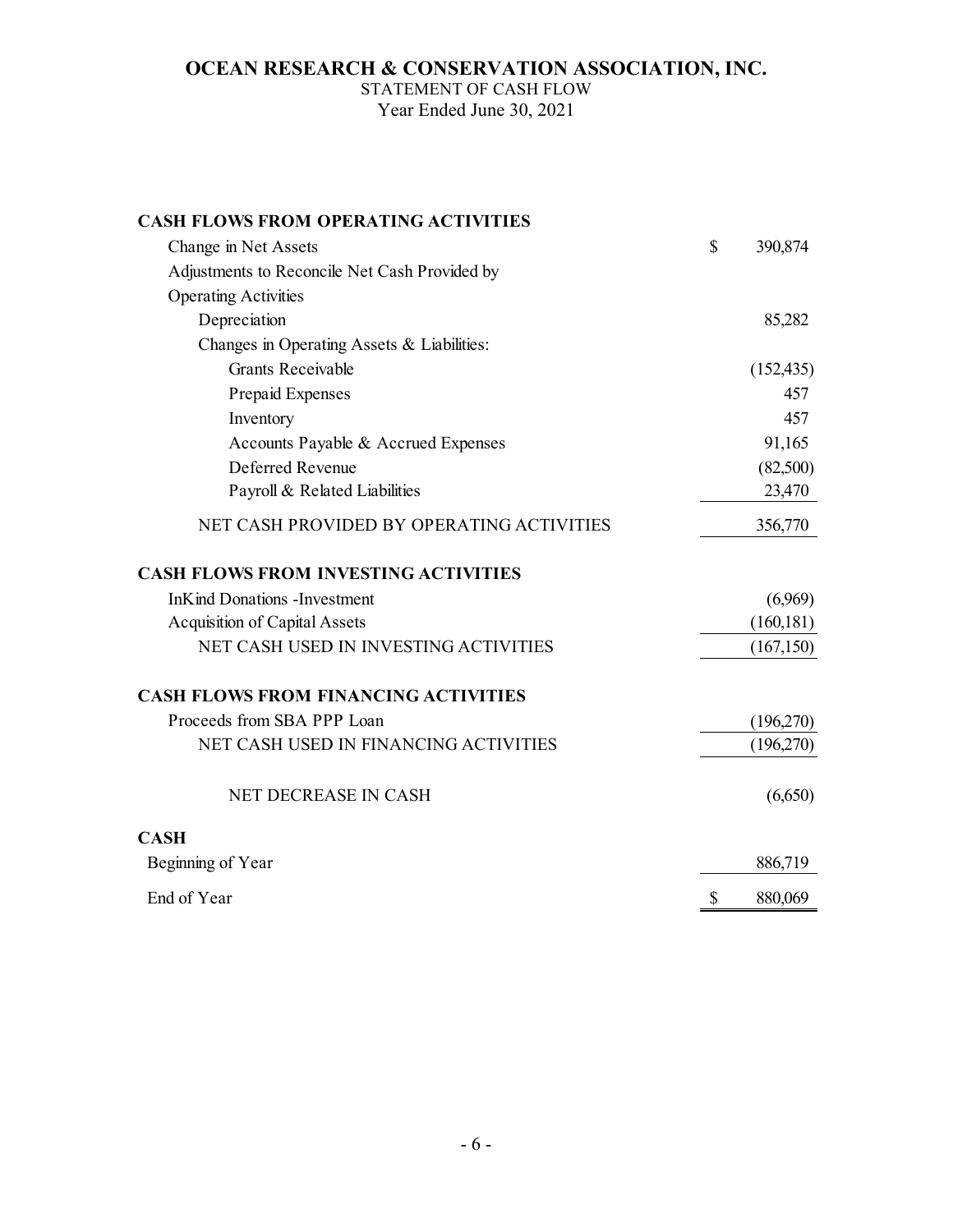STATEMENT OF CASH FLOW Year Ended June 30, 2021

| <b>CASH FLOWS FROM OPERATING ACTIVITIES</b>   |              |            |
|-----------------------------------------------|--------------|------------|
| Change in Net Assets                          | $\mathbb{S}$ | 390,874    |
| Adjustments to Reconcile Net Cash Provided by |              |            |
| <b>Operating Activities</b>                   |              |            |
| Depreciation                                  |              | 85,282     |
| Changes in Operating Assets & Liabilities:    |              |            |
| <b>Grants Receivable</b>                      |              | (152, 435) |
| Prepaid Expenses                              |              | 457        |
| Inventory                                     |              | 457        |
| Accounts Payable & Accrued Expenses           |              | 91,165     |
| Deferred Revenue                              |              | (82,500)   |
| Payroll & Related Liabilities                 |              | 23,470     |
| NET CASH PROVIDED BY OPERATING ACTIVITIES     |              | 356,770    |
| <b>CASH FLOWS FROM INVESTING ACTIVITIES</b>   |              |            |
| <b>InKind Donations - Investment</b>          |              | (6,969)    |
| <b>Acquisition of Capital Assets</b>          |              | (160, 181) |
| NET CASH USED IN INVESTING ACTIVITIES         |              | (167, 150) |
| <b>CASH FLOWS FROM FINANCING ACTIVITIES</b>   |              |            |
| Proceeds from SBA PPP Loan                    |              | (196,270)  |
| NET CASH USED IN FINANCING ACTIVITIES         |              | (196,270)  |
| NET DECREASE IN CASH                          |              | (6,650)    |
| <b>CASH</b>                                   |              |            |
| Beginning of Year                             |              | 886,719    |
| End of Year                                   | \$           | 880,069    |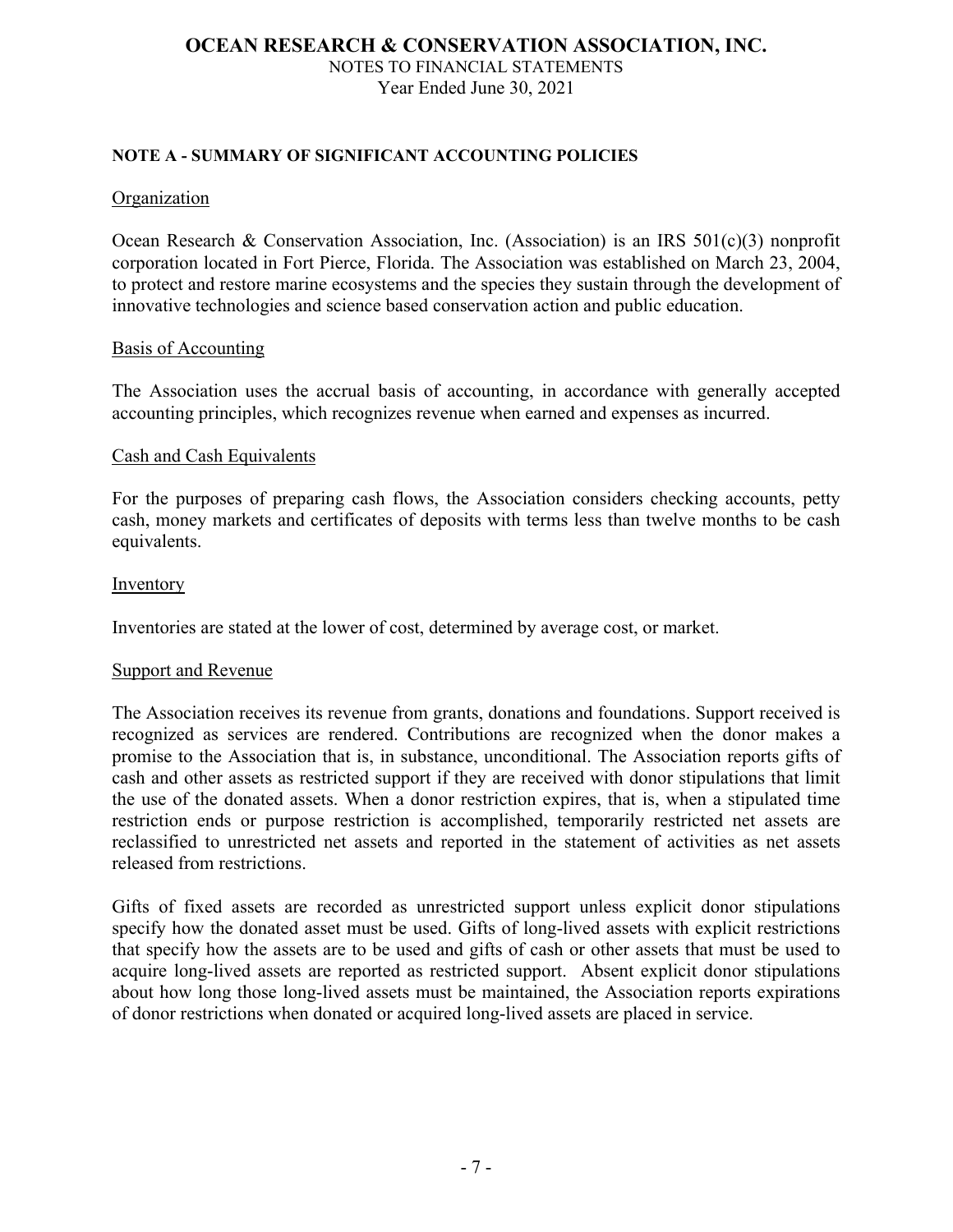# **NOTE A - SUMMARY OF SIGNIFICANT ACCOUNTING POLICIES**

### Organization

Ocean Research & Conservation Association, Inc. (Association) is an IRS 501(c)(3) nonprofit corporation located in Fort Pierce, Florida. The Association was established on March 23, 2004, to protect and restore marine ecosystems and the species they sustain through the development of innovative technologies and science based conservation action and public education.

### Basis of Accounting

The Association uses the accrual basis of accounting, in accordance with generally accepted accounting principles, which recognizes revenue when earned and expenses as incurred.

## Cash and Cash Equivalents

For the purposes of preparing cash flows, the Association considers checking accounts, petty cash, money markets and certificates of deposits with terms less than twelve months to be cash equivalents.

### Inventory

Inventories are stated at the lower of cost, determined by average cost, or market.

### Support and Revenue

The Association receives its revenue from grants, donations and foundations. Support received is recognized as services are rendered. Contributions are recognized when the donor makes a promise to the Association that is, in substance, unconditional. The Association reports gifts of cash and other assets as restricted support if they are received with donor stipulations that limit the use of the donated assets. When a donor restriction expires, that is, when a stipulated time restriction ends or purpose restriction is accomplished, temporarily restricted net assets are reclassified to unrestricted net assets and reported in the statement of activities as net assets released from restrictions.

Gifts of fixed assets are recorded as unrestricted support unless explicit donor stipulations specify how the donated asset must be used. Gifts of long-lived assets with explicit restrictions that specify how the assets are to be used and gifts of cash or other assets that must be used to acquire long-lived assets are reported as restricted support. Absent explicit donor stipulations about how long those long-lived assets must be maintained, the Association reports expirations of donor restrictions when donated or acquired long-lived assets are placed in service.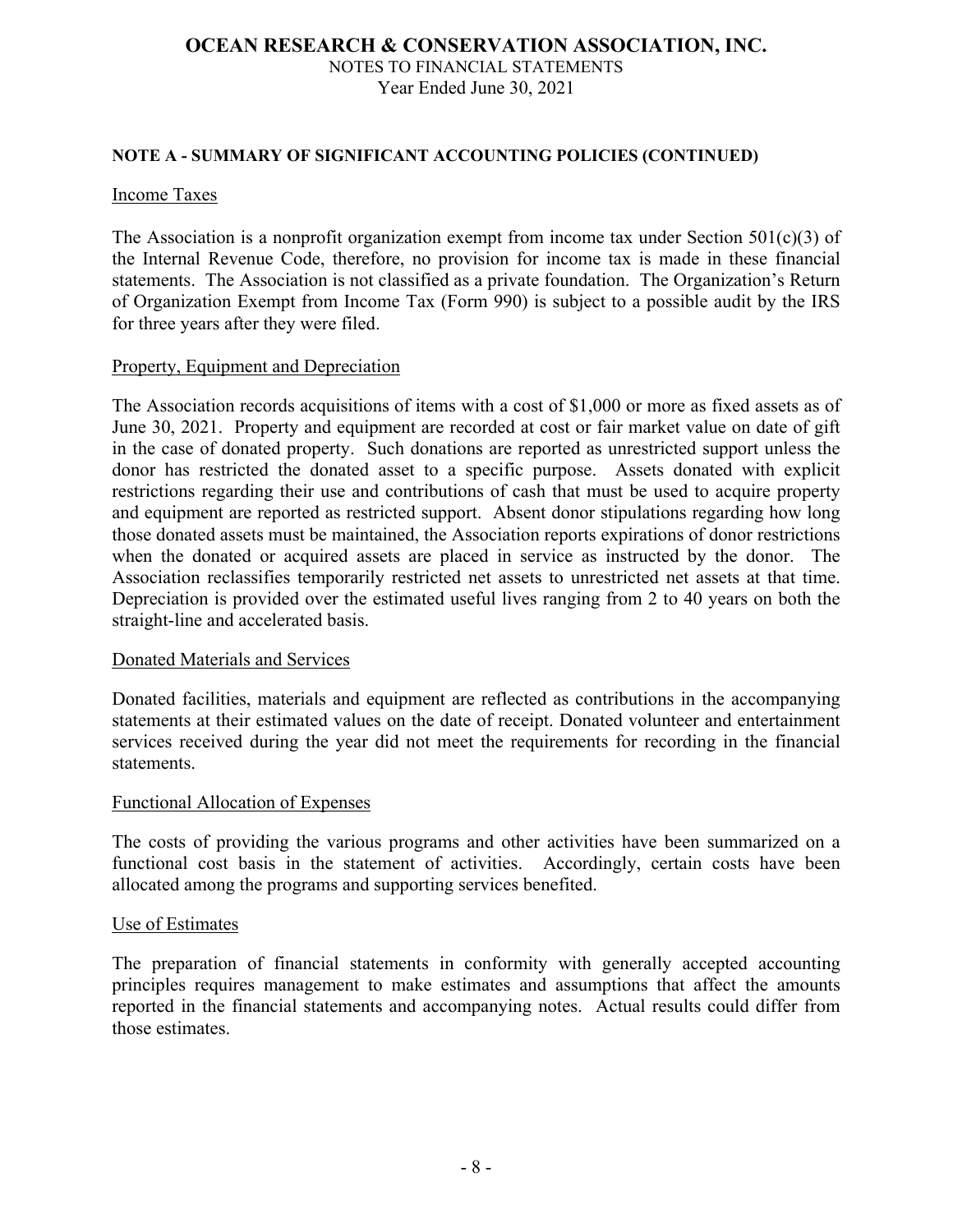## **NOTE A - SUMMARY OF SIGNIFICANT ACCOUNTING POLICIES (CONTINUED)**

### Income Taxes

The Association is a nonprofit organization exempt from income tax under Section 501(c)(3) of the Internal Revenue Code, therefore, no provision for income tax is made in these financial statements. The Association is not classified as a private foundation. The Organization's Return of Organization Exempt from Income Tax (Form 990) is subject to a possible audit by the IRS for three years after they were filed.

### Property, Equipment and Depreciation

The Association records acquisitions of items with a cost of \$1,000 or more as fixed assets as of June 30, 2021. Property and equipment are recorded at cost or fair market value on date of gift in the case of donated property. Such donations are reported as unrestricted support unless the donor has restricted the donated asset to a specific purpose. Assets donated with explicit restrictions regarding their use and contributions of cash that must be used to acquire property and equipment are reported as restricted support. Absent donor stipulations regarding how long those donated assets must be maintained, the Association reports expirations of donor restrictions when the donated or acquired assets are placed in service as instructed by the donor. The Association reclassifies temporarily restricted net assets to unrestricted net assets at that time. Depreciation is provided over the estimated useful lives ranging from 2 to 40 years on both the straight-line and accelerated basis.

### Donated Materials and Services

Donated facilities, materials and equipment are reflected as contributions in the accompanying statements at their estimated values on the date of receipt. Donated volunteer and entertainment services received during the year did not meet the requirements for recording in the financial statements.

### Functional Allocation of Expenses

The costs of providing the various programs and other activities have been summarized on a functional cost basis in the statement of activities. Accordingly, certain costs have been allocated among the programs and supporting services benefited.

### Use of Estimates

The preparation of financial statements in conformity with generally accepted accounting principles requires management to make estimates and assumptions that affect the amounts reported in the financial statements and accompanying notes. Actual results could differ from those estimates.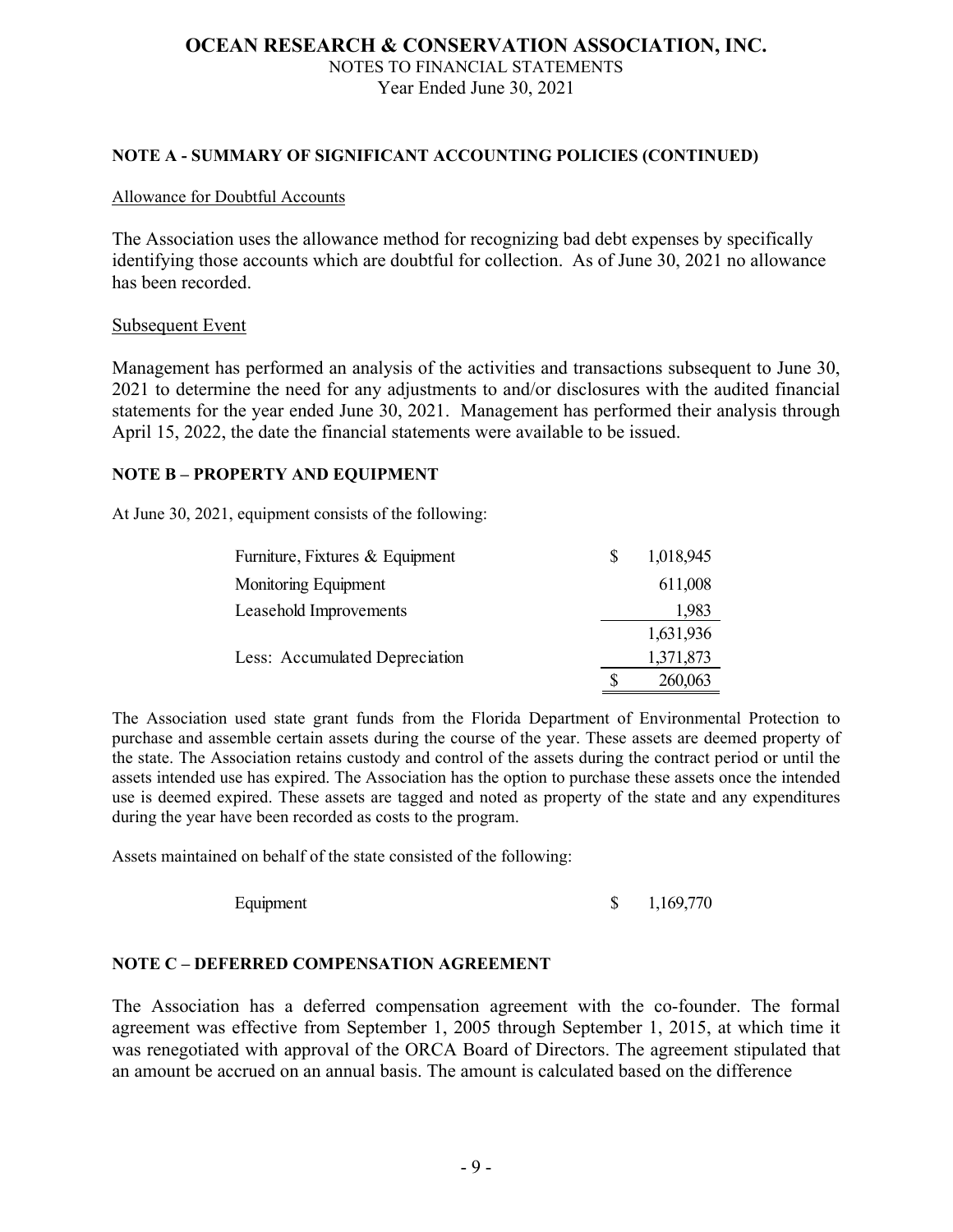## **NOTE A - SUMMARY OF SIGNIFICANT ACCOUNTING POLICIES (CONTINUED)**

#### Allowance for Doubtful Accounts

The Association uses the allowance method for recognizing bad debt expenses by specifically identifying those accounts which are doubtful for collection. As of June 30, 2021 no allowance has been recorded.

### Subsequent Event

Management has performed an analysis of the activities and transactions subsequent to June 30, 2021 to determine the need for any adjustments to and/or disclosures with the audited financial statements for the year ended June 30, 2021. Management has performed their analysis through April 15, 2022, the date the financial statements were available to be issued.

### **NOTE B – PROPERTY AND EQUIPMENT**

At June 30, 2021, equipment consists of the following:

| Furniture, Fixtures & Equipment | S | 1,018,945 |
|---------------------------------|---|-----------|
| Monitoring Equipment            |   | 611,008   |
| Leasehold Improvements          |   | 1,983     |
|                                 |   | 1,631,936 |
| Less: Accumulated Depreciation  |   | 1,371,873 |
|                                 |   | 260,063   |

The Association used state grant funds from the Florida Department of Environmental Protection to purchase and assemble certain assets during the course of the year. These assets are deemed property of the state. The Association retains custody and control of the assets during the contract period or until the assets intended use has expired. The Association has the option to purchase these assets once the intended use is deemed expired. These assets are tagged and noted as property of the state and any expenditures during the year have been recorded as costs to the program.

Assets maintained on behalf of the state consisted of the following:

Equipment  $\qquad \qquad$  1,169,770

### **NOTE C – DEFERRED COMPENSATION AGREEMENT**

The Association has a deferred compensation agreement with the co-founder. The formal agreement was effective from September 1, 2005 through September 1, 2015, at which time it was renegotiated with approval of the ORCA Board of Directors. The agreement stipulated that an amount be accrued on an annual basis. The amount is calculated based on the difference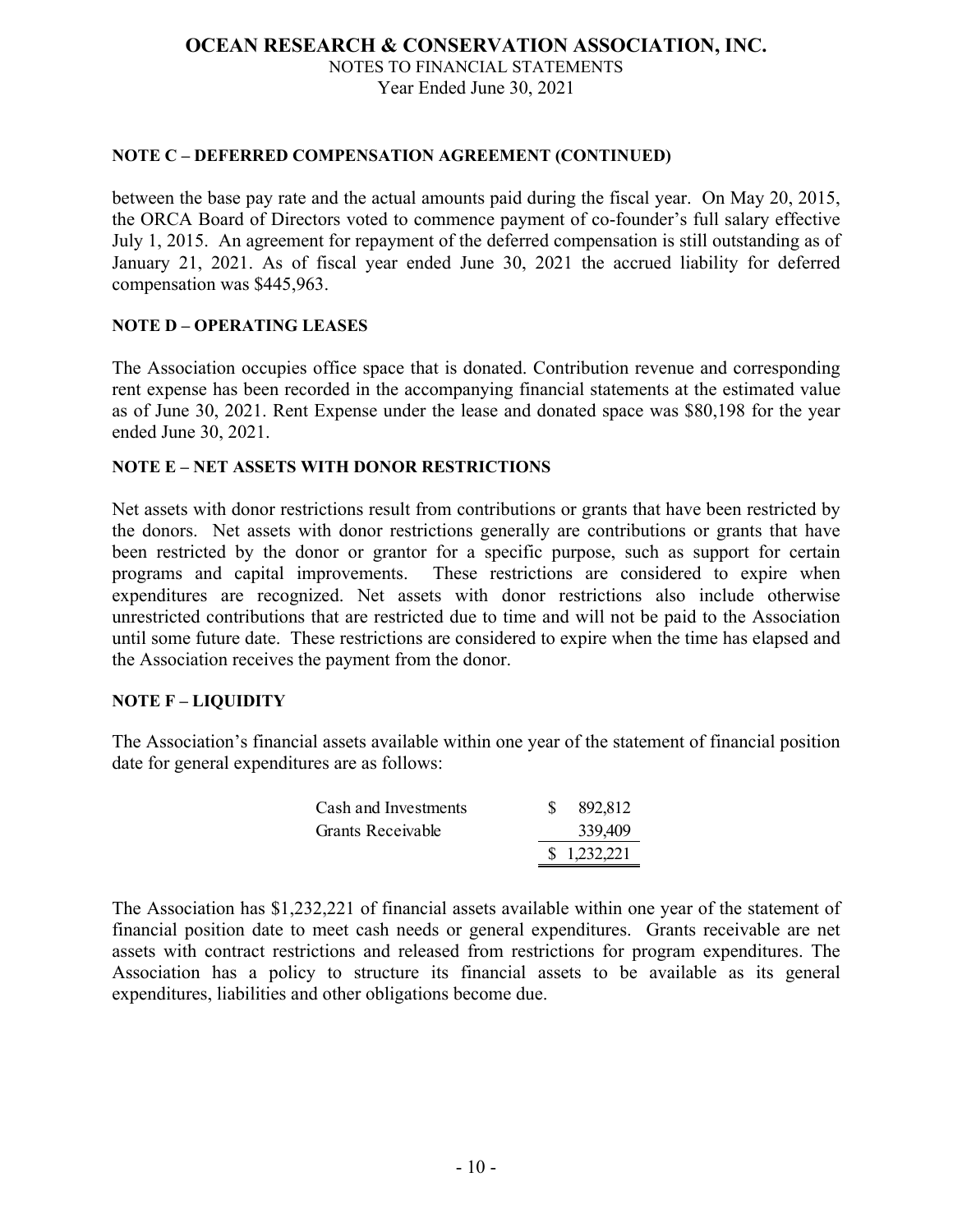## **NOTE C – DEFERRED COMPENSATION AGREEMENT (CONTINUED)**

between the base pay rate and the actual amounts paid during the fiscal year. On May 20, 2015, the ORCA Board of Directors voted to commence payment of co-founder's full salary effective July 1, 2015. An agreement for repayment of the deferred compensation is still outstanding as of January 21, 2021. As of fiscal year ended June 30, 2021 the accrued liability for deferred compensation was \$445,963.

# **NOTE D – OPERATING LEASES**

The Association occupies office space that is donated. Contribution revenue and corresponding rent expense has been recorded in the accompanying financial statements at the estimated value as of June 30, 2021. Rent Expense under the lease and donated space was \$80,198 for the year ended June 30, 2021.

### **NOTE E – NET ASSETS WITH DONOR RESTRICTIONS**

Net assets with donor restrictions result from contributions or grants that have been restricted by the donors. Net assets with donor restrictions generally are contributions or grants that have been restricted by the donor or grantor for a specific purpose, such as support for certain programs and capital improvements. These restrictions are considered to expire when expenditures are recognized. Net assets with donor restrictions also include otherwise unrestricted contributions that are restricted due to time and will not be paid to the Association until some future date. These restrictions are considered to expire when the time has elapsed and the Association receives the payment from the donor.

### **NOTE F – LIQUIDITY**

The Association's financial assets available within one year of the statement of financial position date for general expenditures are as follows:

| Cash and Investments | 892,812     |
|----------------------|-------------|
| Grants Receivable    | 339,409     |
|                      | \$1,232,221 |

The Association has \$1,232,221 of financial assets available within one year of the statement of financial position date to meet cash needs or general expenditures. Grants receivable are net assets with contract restrictions and released from restrictions for program expenditures. The Association has a policy to structure its financial assets to be available as its general expenditures, liabilities and other obligations become due.